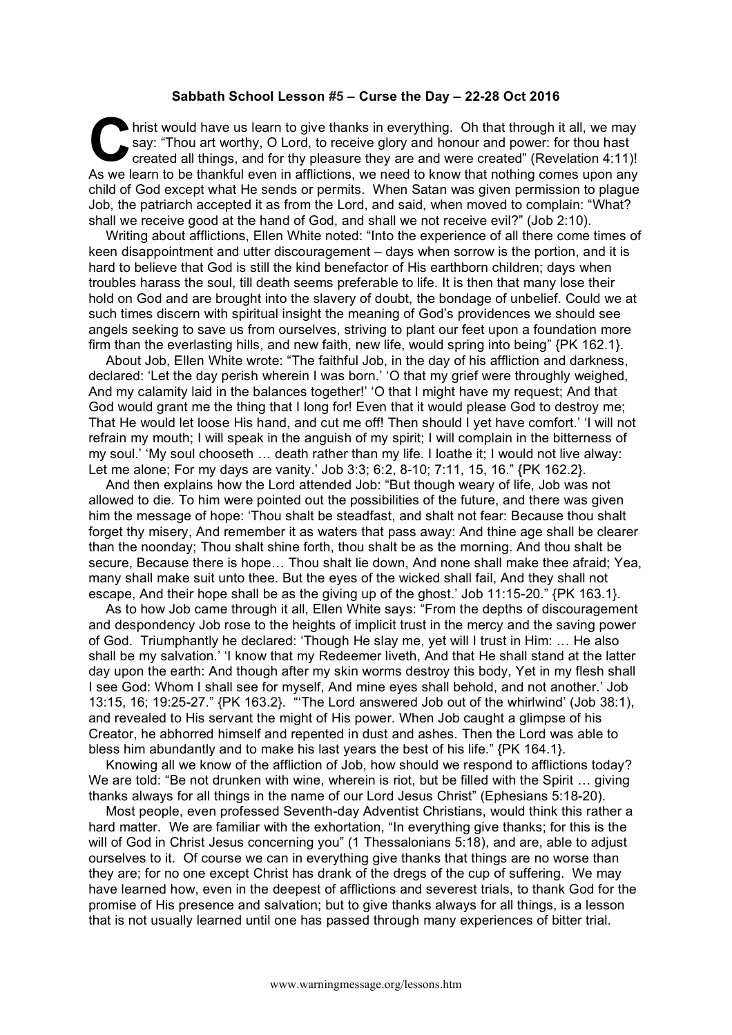## **Sabbath School Lesson #5 – Curse the Day – 22-28 Oct 2016**

hrist would have us learn to give thanks in everything. Oh that through it all, we may say: "Thou art worthy, O Lord, to receive glory and honour and power: for thou hast created all things, and for thy pleasure they are and were created" (Revelation 4:11)! As we learn to be thankful even in afflictions, we need to know that nothing comes upon any child of God except what He sends or permits. When Satan was given permission to plague Job, the patriarch accepted it as from the Lord, and said, when moved to complain: "What? shall we receive good at the hand of God, and shall we not receive evil?" (Job 2:10). C say

Writing about afflictions, Ellen White noted: "Into the experience of all there come times of keen disappointment and utter discouragement – days when sorrow is the portion, and it is hard to believe that God is still the kind benefactor of His earthborn children; days when troubles harass the soul, till death seems preferable to life. It is then that many lose their hold on God and are brought into the slavery of doubt, the bondage of unbelief. Could we at such times discern with spiritual insight the meaning of God's providences we should see angels seeking to save us from ourselves, striving to plant our feet upon a foundation more firm than the everlasting hills, and new faith, new life, would spring into being" {PK 162.1}.

About Job, Ellen White wrote: "The faithful Job, in the day of his affliction and darkness, declared: 'Let the day perish wherein I was born.' 'O that my grief were throughly weighed, And my calamity laid in the balances together!' 'O that I might have my request; And that God would grant me the thing that I long for! Even that it would please God to destroy me; That He would let loose His hand, and cut me off! Then should I yet have comfort.' 'I will not refrain my mouth; I will speak in the anguish of my spirit; I will complain in the bitterness of my soul.' 'My soul chooseth … death rather than my life. I loathe it; I would not live alway: Let me alone; For my days are vanity.' Job 3:3; 6:2, 8-10; 7:11, 15, 16." {PK 162.2}.

And then explains how the Lord attended Job: "But though weary of life, Job was not allowed to die. To him were pointed out the possibilities of the future, and there was given him the message of hope: 'Thou shalt be steadfast, and shalt not fear: Because thou shalt forget thy misery, And remember it as waters that pass away: And thine age shall be clearer than the noonday; Thou shalt shine forth, thou shalt be as the morning. And thou shalt be secure, Because there is hope… Thou shalt lie down, And none shall make thee afraid; Yea, many shall make suit unto thee. But the eyes of the wicked shall fail, And they shall not escape, And their hope shall be as the giving up of the ghost.' Job 11:15-20." {PK 163.1}.

As to how Job came through it all, Ellen White says: "From the depths of discouragement and despondency Job rose to the heights of implicit trust in the mercy and the saving power of God. Triumphantly he declared: 'Though He slay me, yet will I trust in Him: … He also shall be my salvation.' 'I know that my Redeemer liveth, And that He shall stand at the latter day upon the earth: And though after my skin worms destroy this body, Yet in my flesh shall I see God: Whom I shall see for myself, And mine eyes shall behold, and not another.' Job 13:15, 16; 19:25-27." {PK 163.2}. "'The Lord answered Job out of the whirlwind' (Job 38:1), and revealed to His servant the might of His power. When Job caught a glimpse of his Creator, he abhorred himself and repented in dust and ashes. Then the Lord was able to bless him abundantly and to make his last years the best of his life." {PK 164.1}.

Knowing all we know of the affliction of Job, how should we respond to afflictions today? We are told: "Be not drunken with wine, wherein is riot, but be filled with the Spirit ... giving thanks always for all things in the name of our Lord Jesus Christ" (Ephesians 5:18-20).

Most people, even professed Seventh-day Adventist Christians, would think this rather a hard matter. We are familiar with the exhortation, "In everything give thanks; for this is the will of God in Christ Jesus concerning you" (1 Thessalonians 5:18), and are, able to adjust ourselves to it. Of course we can in everything give thanks that things are no worse than they are; for no one except Christ has drank of the dregs of the cup of suffering. We may have learned how, even in the deepest of afflictions and severest trials, to thank God for the promise of His presence and salvation; but to give thanks always for all things, is a lesson that is not usually learned until one has passed through many experiences of bitter trial.